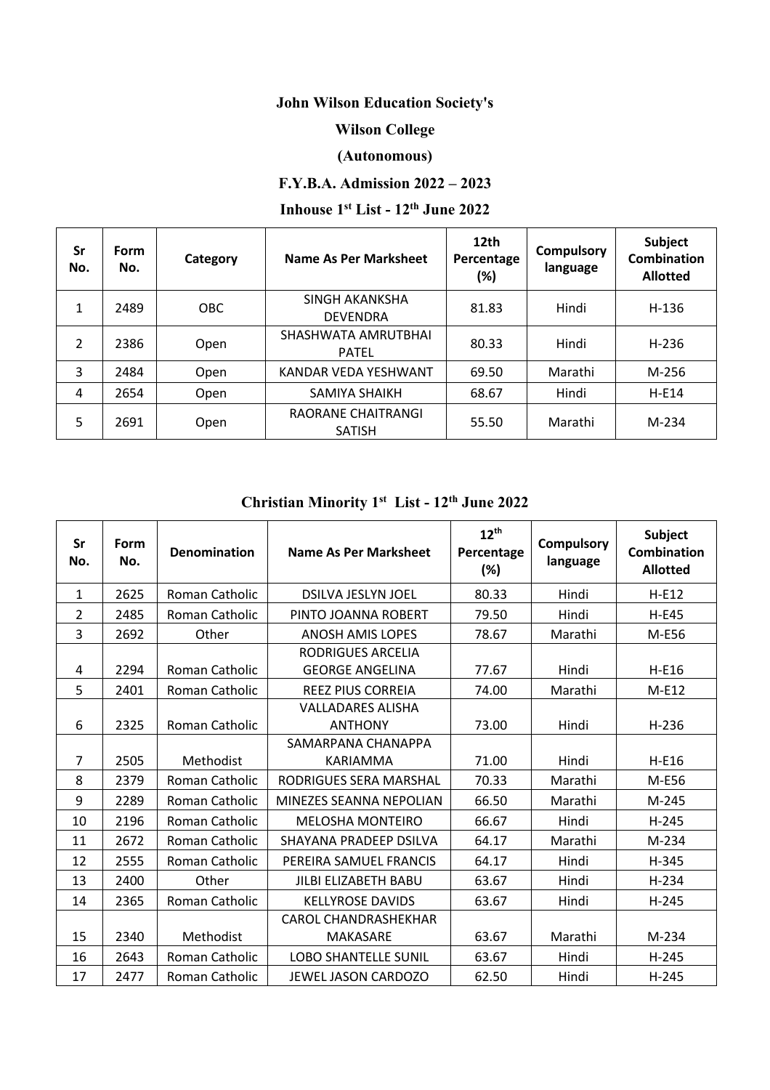## **John Wilson Education Society's**

## **Wilson College**

## **(Autonomous)**

## **F.Y.B.A. Admission 2022 – 2023**

# **Inhouse 1st List - 12th June 2022**

| Sr<br>No.      | Form<br>No. | Category   | Name As Per Marksheet               | 12th<br>Percentage<br>(%) | <b>Compulsory</b><br>language | Subject<br><b>Combination</b><br><b>Allotted</b> |
|----------------|-------------|------------|-------------------------------------|---------------------------|-------------------------------|--------------------------------------------------|
| 1              | 2489        | <b>OBC</b> | SINGH AKANKSHA<br><b>DEVENDRA</b>   | 81.83                     | Hindi                         | $H-136$                                          |
| $\overline{2}$ | 2386        | Open       | SHASHWATA AMRUTBHAI<br><b>PATEL</b> | 80.33                     | Hindi                         | $H-236$                                          |
| 3              | 2484        | Open       | KANDAR VEDA YESHWANT                | 69.50                     | Marathi                       | M-256                                            |
| 4              | 2654        | Open       | SAMIYA SHAIKH                       | 68.67                     | Hindi                         | $H-E14$                                          |
| 5              | 2691        | Open       | RAORANE CHAITRANGI<br><b>SATISH</b> | 55.50                     | Marathi                       | $M-234$                                          |

## **Christian Minority 1st List - 12th June 2022**

| Sr<br>No.      | Form<br>No. | Denomination          | Name As Per Marksheet                              | $12^{th}$<br>Percentage<br>(%) | <b>Compulsory</b><br>language | <b>Subject</b><br><b>Combination</b><br><b>Allotted</b> |
|----------------|-------------|-----------------------|----------------------------------------------------|--------------------------------|-------------------------------|---------------------------------------------------------|
| 1              | 2625        | <b>Roman Catholic</b> | <b>DSILVA JESLYN JOEL</b>                          | 80.33                          | Hindi                         | $H-E12$                                                 |
| $\overline{2}$ | 2485        | Roman Catholic        | PINTO JOANNA ROBERT                                | 79.50                          | Hindi                         | <b>H-E45</b>                                            |
| 3              | 2692        | Other                 | <b>ANOSH AMIS LOPES</b>                            | 78.67                          | Marathi                       | M-E56                                                   |
| 4              | 2294        | Roman Catholic        | <b>RODRIGUES ARCELIA</b><br><b>GEORGE ANGELINA</b> | 77.67                          | Hindi                         | $H-E16$                                                 |
| 5              | 2401        | Roman Catholic        | <b>REEZ PIUS CORREIA</b>                           | 74.00                          | Marathi                       | $M-E12$                                                 |
| 6              | 2325        | <b>Roman Catholic</b> | <b>VALLADARES ALISHA</b><br><b>ANTHONY</b>         | 73.00                          | Hindi                         | $H-236$                                                 |
| $\overline{7}$ | 2505        | Methodist             | SAMARPANA CHANAPPA<br><b>KARIAMMA</b>              | 71.00                          | Hindi                         | $H-E16$                                                 |
| 8              | 2379        | Roman Catholic        | RODRIGUES SERA MARSHAL                             | 70.33                          | Marathi                       | M-E56                                                   |
| 9              | 2289        | Roman Catholic        | MINEZES SEANNA NEPOLIAN                            | 66.50                          | Marathi                       | M-245                                                   |
| 10             | 2196        | Roman Catholic        | <b>MELOSHA MONTEIRO</b>                            | 66.67                          | Hindi                         | $H-245$                                                 |
| 11             | 2672        | Roman Catholic        | SHAYANA PRADEEP DSILVA                             | 64.17                          | Marathi                       | M-234                                                   |
| 12             | 2555        | Roman Catholic        | PEREIRA SAMUEL FRANCIS                             | 64.17                          | Hindi                         | H-345                                                   |
| 13             | 2400        | Other                 | <b>JILBI ELIZABETH BABU</b>                        | 63.67                          | Hindi                         | $H-234$                                                 |
| 14             | 2365        | Roman Catholic        | <b>KELLYROSE DAVIDS</b>                            | 63.67                          | Hindi                         | $H-245$                                                 |
|                |             |                       | <b>CAROL CHANDRASHEKHAR</b>                        |                                |                               |                                                         |
| 15             | 2340        | Methodist             | MAKASARE                                           | 63.67                          | Marathi                       | M-234                                                   |
| 16             | 2643        | Roman Catholic        | <b>LOBO SHANTELLE SUNIL</b>                        | 63.67                          | Hindi                         | $H-245$                                                 |
| 17             | 2477        | Roman Catholic        | <b>JEWEL JASON CARDOZO</b>                         | 62.50                          | Hindi                         | $H-245$                                                 |